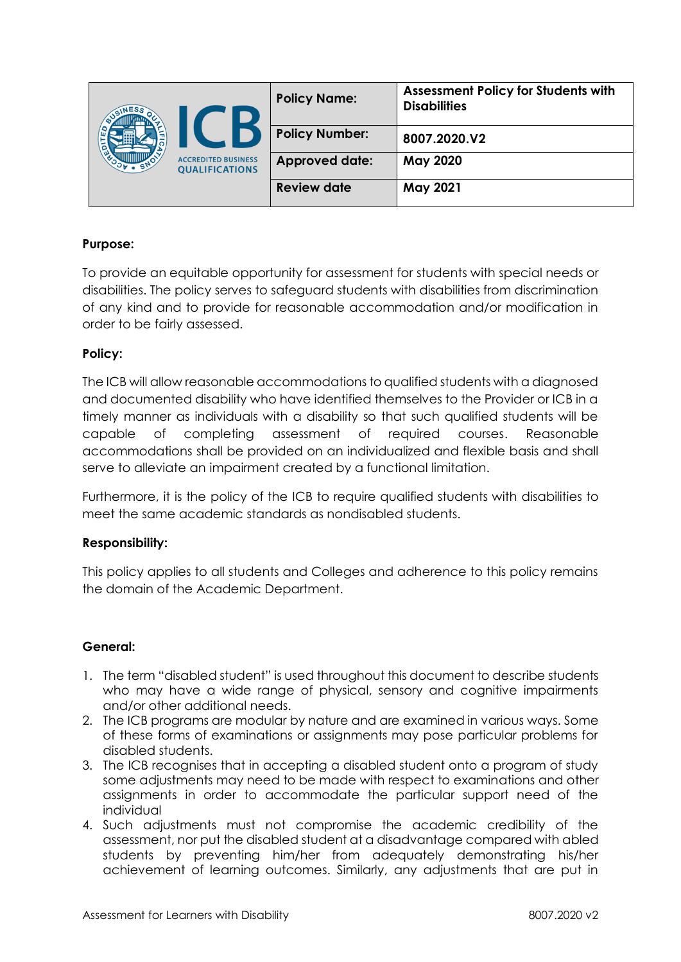| ٥ | <b>ACCREDITED BUSINESS</b><br><b>QUALIFICATIONS</b> | <b>Policy Name:</b>   | <b>Assessment Policy for Students with</b><br><b>Disabilities</b> |
|---|-----------------------------------------------------|-----------------------|-------------------------------------------------------------------|
|   |                                                     | <b>Policy Number:</b> | 8007.2020.V2                                                      |
|   |                                                     | <b>Approved date:</b> | May 2020                                                          |
|   |                                                     | <b>Review date</b>    | <b>May 2021</b>                                                   |

# **Purpose:**

To provide an equitable opportunity for assessment for students with special needs or disabilities. The policy serves to safeguard students with disabilities from discrimination of any kind and to provide for reasonable accommodation and/or modification in order to be fairly assessed.

# **Policy:**

The ICB will allow reasonable accommodations to qualified students with a diagnosed and documented disability who have identified themselves to the Provider or ICB in a timely manner as individuals with a disability so that such qualified students will be capable of completing assessment of required courses. Reasonable accommodations shall be provided on an individualized and flexible basis and shall serve to alleviate an impairment created by a functional limitation.

Furthermore, it is the policy of the ICB to require qualified students with disabilities to meet the same academic standards as nondisabled students.

# **Responsibility:**

This policy applies to all students and Colleges and adherence to this policy remains the domain of the Academic Department.

# **General:**

- 1. The term "disabled student" is used throughout this document to describe students who may have a wide range of physical, sensory and cognitive impairments and/or other additional needs.
- 2. The ICB programs are modular by nature and are examined in various ways. Some of these forms of examinations or assignments may pose particular problems for disabled students.
- 3. The ICB recognises that in accepting a disabled student onto a program of study some adjustments may need to be made with respect to examinations and other assignments in order to accommodate the particular support need of the individual
- 4. Such adjustments must not compromise the academic credibility of the assessment, nor put the disabled student at a disadvantage compared with abled students by preventing him/her from adequately demonstrating his/her achievement of learning outcomes. Similarly, any adjustments that are put in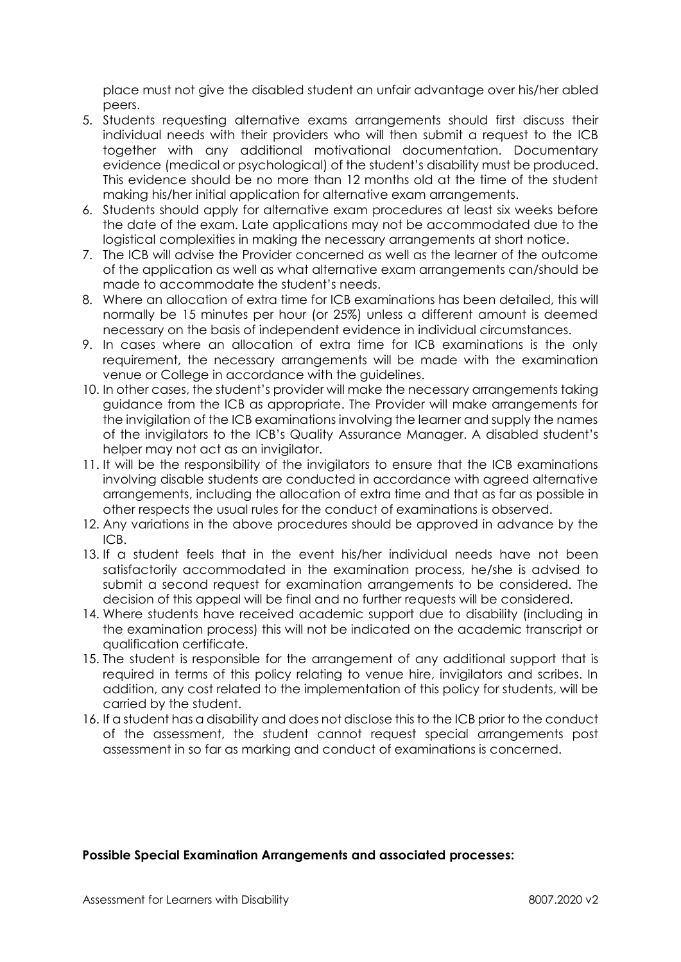place must not give the disabled student an unfair advantage over his/her abled peers.

- 5. Students requesting alternative exams arrangements should first discuss their individual needs with their providers who will then submit a request to the ICB together with any additional motivational documentation. Documentary evidence (medical or psychological) of the student's disability must be produced. This evidence should be no more than 12 months old at the time of the student making his/her initial application for alternative exam arrangements.
- 6. Students should apply for alternative exam procedures at least six weeks before the date of the exam. Late applications may not be accommodated due to the logistical complexities in making the necessary arrangements at short notice.
- 7. The ICB will advise the Provider concerned as well as the learner of the outcome of the application as well as what alternative exam arrangements can/should be made to accommodate the student's needs.
- 8. Where an allocation of extra time for ICB examinations has been detailed, this will normally be 15 minutes per hour (or 25%) unless a different amount is deemed necessary on the basis of independent evidence in individual circumstances.
- 9. In cases where an allocation of extra time for ICB examinations is the only requirement, the necessary arrangements will be made with the examination venue or College in accordance with the guidelines.
- 10. In other cases, the student's provider will make the necessary arrangements taking guidance from the ICB as appropriate. The Provider will make arrangements for the invigilation of the ICB examinations involving the learner and supply the names of the invigilators to the ICB's Quality Assurance Manager. A disabled student's helper may not act as an invigilator.
- 11. It will be the responsibility of the invigilators to ensure that the ICB examinations involving disable students are conducted in accordance with agreed alternative arrangements, including the allocation of extra time and that as far as possible in other respects the usual rules for the conduct of examinations is observed.
- 12. Any variations in the above procedures should be approved in advance by the ICB.
- 13. If a student feels that in the event his/her individual needs have not been satisfactorily accommodated in the examination process, he/she is advised to submit a second request for examination arrangements to be considered. The decision of this appeal will be final and no further requests will be considered.
- 14. Where students have received academic support due to disability (including in the examination process) this will not be indicated on the academic transcript or qualification certificate.
- 15. The student is responsible for the arrangement of any additional support that is required in terms of this policy relating to venue hire, invigilators and scribes. In addition, any cost related to the implementation of this policy for students, will be carried by the student.
- 16. If a student has a disability and does not disclose this to the ICB prior to the conduct of the assessment, the student cannot request special arrangements post assessment in so far as marking and conduct of examinations is concerned.

#### **Possible Special Examination Arrangements and associated processes:**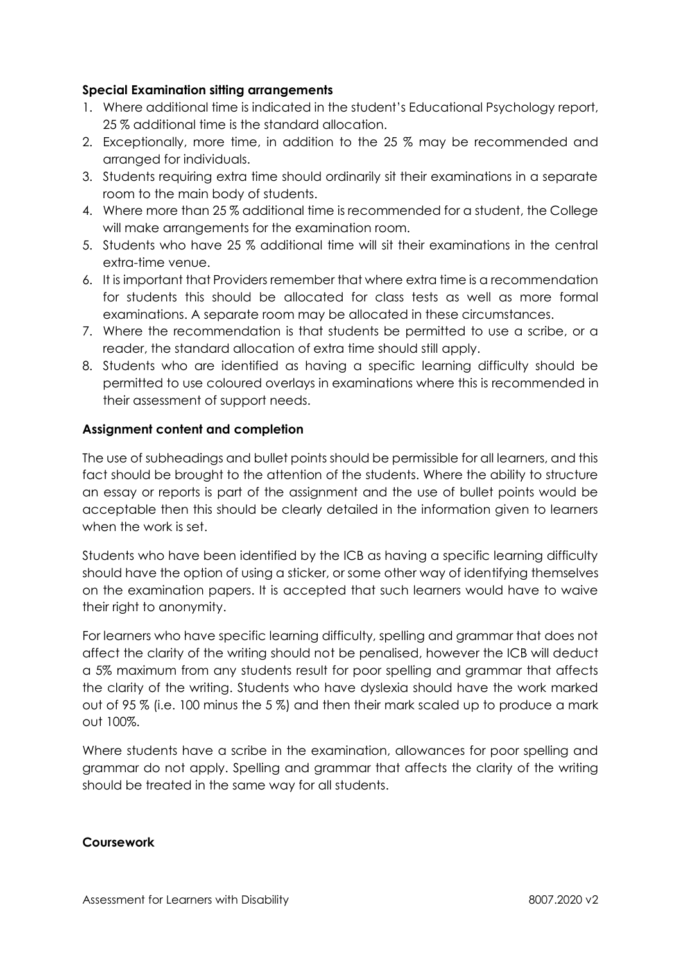# **Special Examination sitting arrangements**

- 1. Where additional time is indicated in the student's Educational Psychology report, 25 % additional time is the standard allocation.
- 2. Exceptionally, more time, in addition to the 25 % may be recommended and arranged for individuals.
- 3. Students requiring extra time should ordinarily sit their examinations in a separate room to the main body of students.
- 4. Where more than 25 % additional time is recommended for a student, the College will make arrangements for the examination room.
- 5. Students who have 25 % additional time will sit their examinations in the central extra-time venue.
- 6. It is important that Providers remember that where extra time is a recommendation for students this should be allocated for class tests as well as more formal examinations. A separate room may be allocated in these circumstances.
- 7. Where the recommendation is that students be permitted to use a scribe, or a reader, the standard allocation of extra time should still apply.
- 8. Students who are identified as having a specific learning difficulty should be permitted to use coloured overlays in examinations where this is recommended in their assessment of support needs.

#### **Assignment content and completion**

The use of subheadings and bullet points should be permissible for all learners, and this fact should be brought to the attention of the students. Where the ability to structure an essay or reports is part of the assignment and the use of bullet points would be acceptable then this should be clearly detailed in the information given to learners when the work is set.

Students who have been identified by the ICB as having a specific learning difficulty should have the option of using a sticker, or some other way of identifying themselves on the examination papers. It is accepted that such learners would have to waive their right to anonymity.

For learners who have specific learning difficulty, spelling and grammar that does not affect the clarity of the writing should not be penalised, however the ICB will deduct a 5% maximum from any students result for poor spelling and grammar that affects the clarity of the writing. Students who have dyslexia should have the work marked out of 95 % (i.e. 100 minus the 5 %) and then their mark scaled up to produce a mark out 100%.

Where students have a scribe in the examination, allowances for poor spelling and grammar do not apply. Spelling and grammar that affects the clarity of the writing should be treated in the same way for all students.

#### **Coursework**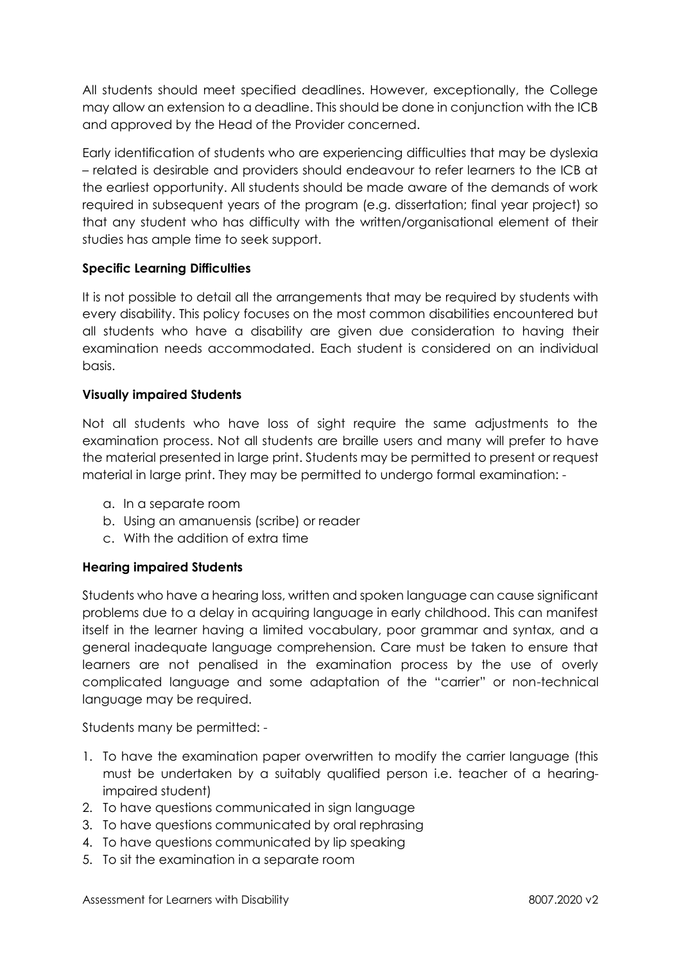All students should meet specified deadlines. However, exceptionally, the College may allow an extension to a deadline. This should be done in conjunction with the ICB and approved by the Head of the Provider concerned.

Early identification of students who are experiencing difficulties that may be dyslexia – related is desirable and providers should endeavour to refer learners to the ICB at the earliest opportunity. All students should be made aware of the demands of work required in subsequent years of the program (e.g. dissertation; final year project) so that any student who has difficulty with the written/organisational element of their studies has ample time to seek support.

# **Specific Learning Difficulties**

It is not possible to detail all the arrangements that may be required by students with every disability. This policy focuses on the most common disabilities encountered but all students who have a disability are given due consideration to having their examination needs accommodated. Each student is considered on an individual basis.

# **Visually impaired Students**

Not all students who have loss of sight require the same adjustments to the examination process. Not all students are braille users and many will prefer to have the material presented in large print. Students may be permitted to present or request material in large print. They may be permitted to undergo formal examination: -

- a. In a separate room
- b. Using an amanuensis (scribe) or reader
- c. With the addition of extra time

# **Hearing impaired Students**

Students who have a hearing loss, written and spoken language can cause significant problems due to a delay in acquiring language in early childhood. This can manifest itself in the learner having a limited vocabulary, poor grammar and syntax, and a general inadequate language comprehension. Care must be taken to ensure that learners are not penalised in the examination process by the use of overly complicated language and some adaptation of the "carrier" or non-technical language may be required.

Students many be permitted: -

- 1. To have the examination paper overwritten to modify the carrier language (this must be undertaken by a suitably qualified person i.e. teacher of a hearingimpaired student)
- 2. To have questions communicated in sign language
- 3. To have questions communicated by oral rephrasing
- 4. To have questions communicated by lip speaking
- 5. To sit the examination in a separate room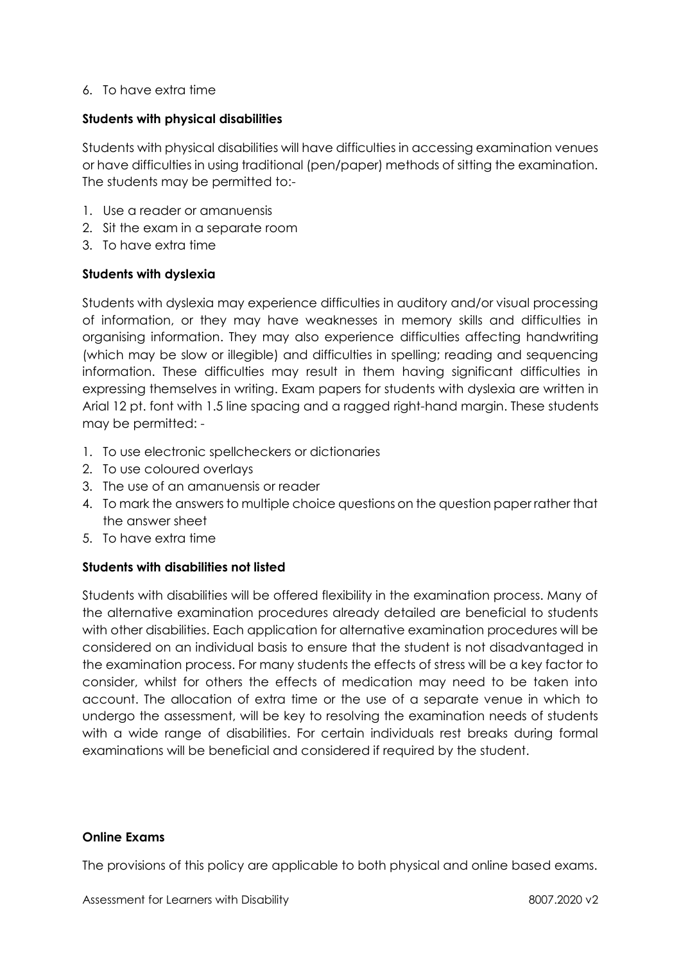#### 6. To have extra time

#### **Students with physical disabilities**

Students with physical disabilities will have difficulties in accessing examination venues or have difficulties in using traditional (pen/paper) methods of sitting the examination. The students may be permitted to:-

- 1. Use a reader or amanuensis
- 2. Sit the exam in a separate room
- 3. To have extra time

#### **Students with dyslexia**

Students with dyslexia may experience difficulties in auditory and/or visual processing of information, or they may have weaknesses in memory skills and difficulties in organising information. They may also experience difficulties affecting handwriting (which may be slow or illegible) and difficulties in spelling; reading and sequencing information. These difficulties may result in them having significant difficulties in expressing themselves in writing. Exam papers for students with dyslexia are written in Arial 12 pt. font with 1.5 line spacing and a ragged right-hand margin. These students may be permitted: -

- 1. To use electronic spellcheckers or dictionaries
- 2. To use coloured overlays
- 3. The use of an amanuensis or reader
- 4. To mark the answers to multiple choice questions on the question paper rather that the answer sheet
- 5. To have extra time

# **Students with disabilities not listed**

Students with disabilities will be offered flexibility in the examination process. Many of the alternative examination procedures already detailed are beneficial to students with other disabilities. Each application for alternative examination procedures will be considered on an individual basis to ensure that the student is not disadvantaged in the examination process. For many students the effects of stress will be a key factor to consider, whilst for others the effects of medication may need to be taken into account. The allocation of extra time or the use of a separate venue in which to undergo the assessment, will be key to resolving the examination needs of students with a wide range of disabilities. For certain individuals rest breaks during formal examinations will be beneficial and considered if required by the student.

#### **Online Exams**

The provisions of this policy are applicable to both physical and online based exams.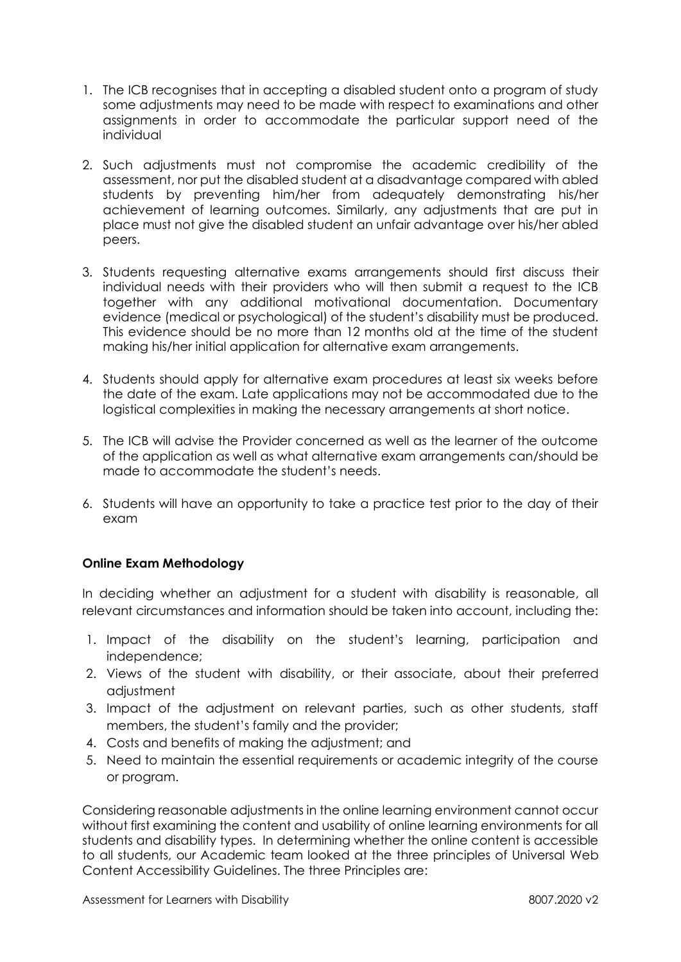- 1. The ICB recognises that in accepting a disabled student onto a program of study some adjustments may need to be made with respect to examinations and other assignments in order to accommodate the particular support need of the individual
- 2. Such adjustments must not compromise the academic credibility of the assessment, nor put the disabled student at a disadvantage compared with abled students by preventing him/her from adequately demonstrating his/her achievement of learning outcomes. Similarly, any adjustments that are put in place must not give the disabled student an unfair advantage over his/her abled peers.
- 3. Students requesting alternative exams arrangements should first discuss their individual needs with their providers who will then submit a request to the ICB together with any additional motivational documentation. Documentary evidence (medical or psychological) of the student's disability must be produced. This evidence should be no more than 12 months old at the time of the student making his/her initial application for alternative exam arrangements.
- 4. Students should apply for alternative exam procedures at least six weeks before the date of the exam. Late applications may not be accommodated due to the logistical complexities in making the necessary arrangements at short notice.
- 5. The ICB will advise the Provider concerned as well as the learner of the outcome of the application as well as what alternative exam arrangements can/should be made to accommodate the student's needs.
- 6. Students will have an opportunity to take a practice test prior to the day of their exam

# **Online Exam Methodology**

In deciding whether an adjustment for a student with disability is reasonable, all relevant circumstances and information should be taken into account, including the:

- 1. Impact of the disability on the student's learning, participation and independence;
- 2. Views of the student with disability, or their associate, about their preferred adjustment
- 3. Impact of the adjustment on relevant parties, such as other students, staff members, the student's family and the provider;
- 4. Costs and benefits of making the adjustment; and
- 5. Need to maintain the essential requirements or academic integrity of the course or program.

Considering reasonable adjustments in the online learning environment cannot occur without first examining the content and usability of online learning environments for all students and disability types. In determining whether the online content is accessible to all students, our Academic team looked at the three principles of Universal [Web](https://www.w3.org/TR/UNDERSTANDING-WCAG20/intro.html)  [Content Accessibility Guidelines.](https://www.w3.org/TR/UNDERSTANDING-WCAG20/intro.html) The three Principles are: